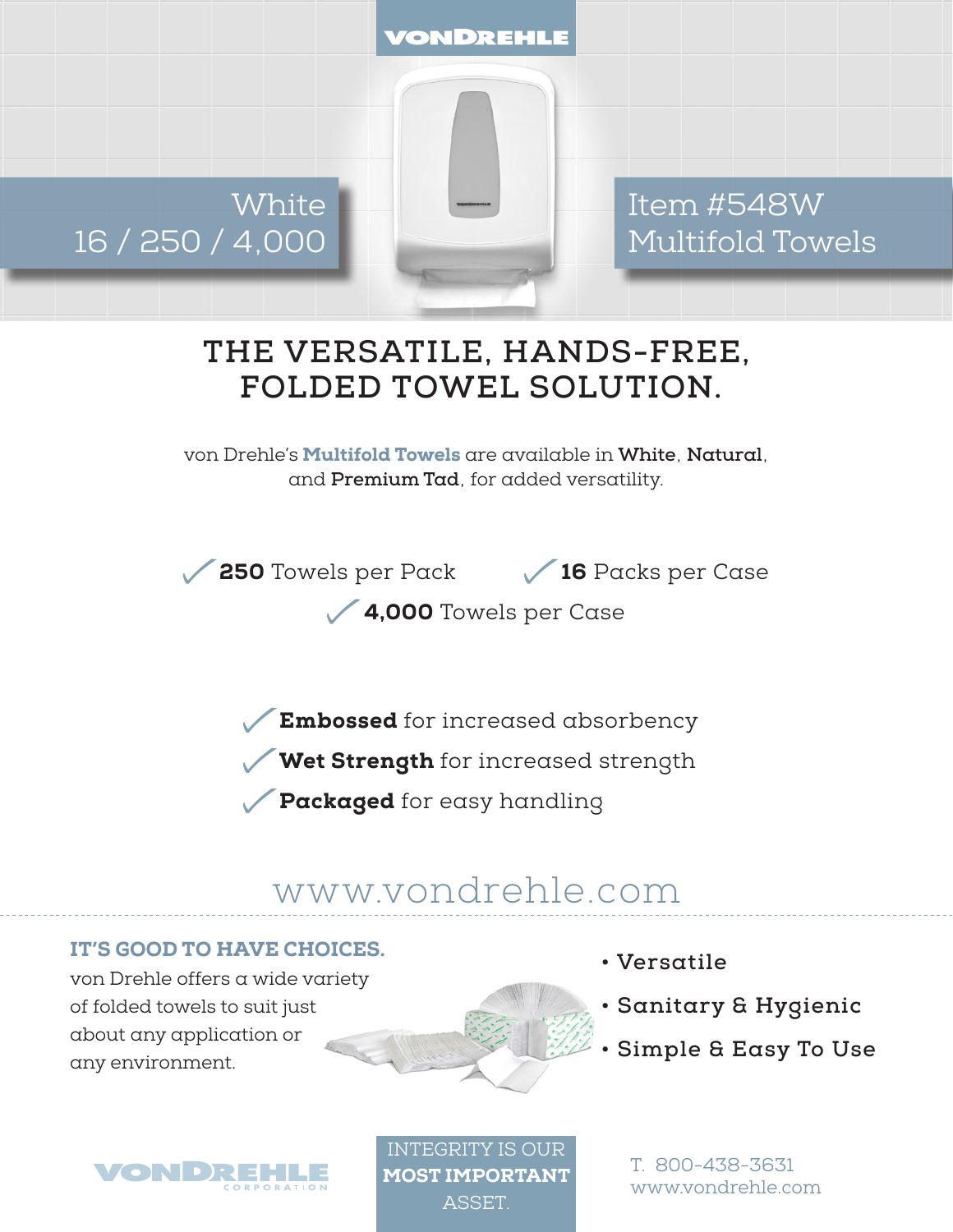VONDREHLE

**White** 16 / 250 / 4,000

Item #548W Multifold Towels

## **THE VERSATILE, HANDS-FREE, FOLDED TOWEL SOLUTION.**

von Drehle's Multifold Towels are available in **White**, **Natural**, and **Premium Tad**, for added versatility.

**250** Towels per Pack 16 Packs per Case

4,000 Towels per Case

Embossed for increased absorbency

Wet Strength for increased strength

Packaged for easy handling

## www.vondrehle.com

## IT'S GOOD TO HAVE CHOICES.

von Drehle offers a wide variety of folded towels to suit just about any application or any environment.



- **Versatile**
- **Sanitary & Hygienic**
- **Simple & Easy To Use**



INTEGRITY IS OUR MOST IMPORTANT **ASSET** 

T. 800-438-3631 www.vondrehle.com